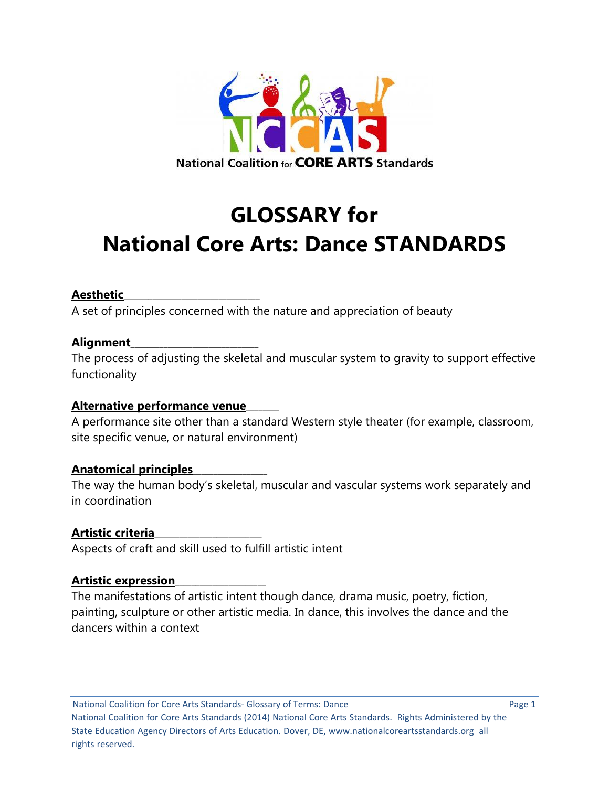

# **GLOSSARY for National Core Arts: Dance STANDARDS**

# **Aesthetic**\_\_\_\_\_\_\_\_\_\_\_\_\_\_\_\_\_\_\_\_\_\_\_\_\_\_\_\_\_\_\_\_\_

A set of principles concerned with the nature and appreciation of beauty

# **Alignment**\_\_\_\_\_\_\_\_\_\_\_\_\_\_\_\_\_\_\_\_\_\_\_\_\_\_\_\_\_\_\_

The process of adjusting the skeletal and muscular system to gravity to support effective functionality

# **Alternative performance venue**\_\_\_\_\_\_\_\_

A performance site other than a standard Western style theater (for example, classroom, site specific venue, or natural environment)

# **Anatomical principles**\_\_\_\_\_\_\_\_\_\_\_\_\_\_\_\_\_\_

The way the human body's skeletal, muscular and vascular systems work separately and in coordination

# **Artistic criteria**\_\_\_\_\_\_\_\_\_\_\_\_\_\_\_\_\_\_\_\_\_\_\_\_\_\_

Aspects of craft and skill used to fulfill artistic intent

# **Artistic expression**\_\_\_\_\_\_\_\_\_\_\_\_\_\_\_\_\_\_\_\_\_\_

The manifestations of artistic intent though dance, drama music, poetry, fiction, painting, sculpture or other artistic media. In dance, this involves the dance and the dancers within a context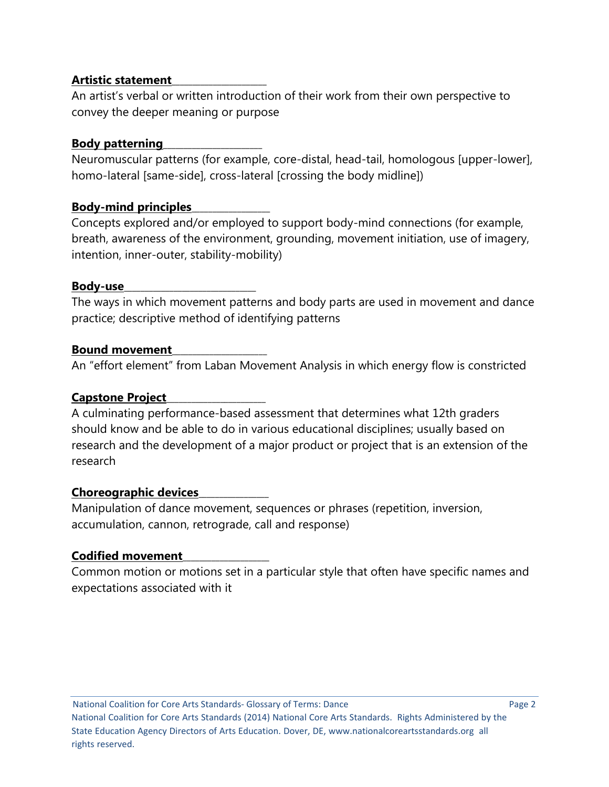## **Artistic statement**\_\_\_\_\_\_\_\_\_\_\_\_\_\_\_\_\_\_\_\_\_\_\_

An artist's verbal or written introduction of their work from their own perspective to convey the deeper meaning or purpose

## **Body patterning**\_\_\_\_\_\_\_\_\_\_\_\_\_\_\_\_\_\_\_\_\_\_\_\_

Neuromuscular patterns (for example, core-distal, head-tail, homologous [upper-lower], homo-lateral [same-side], cross-lateral [crossing the body midline])

# **Body-mind principles**\_\_\_\_\_\_\_\_\_\_\_\_\_\_\_\_\_\_\_

Concepts explored and/or employed to support body-mind connections (for example, breath, awareness of the environment, grounding, movement initiation, use of imagery, intention, inner-outer, stability-mobility)

## **Body-use**\_\_\_\_\_\_\_\_\_\_\_\_\_\_\_\_\_\_\_\_\_\_\_\_\_\_\_\_\_\_\_\_

The ways in which movement patterns and body parts are used in movement and dance practice; descriptive method of identifying patterns

## **Bound movement**\_\_\_\_\_\_\_\_\_\_\_\_\_\_\_\_\_\_\_\_\_\_\_

An "effort element" from Laban Movement Analysis in which energy flow is constricted

# **Capstone Project**\_\_\_\_\_\_\_\_\_\_\_\_\_\_\_\_\_\_\_\_\_\_\_\_

A culminating performance-based assessment that determines what 12th graders should know and be able to do in various educational disciplines; usually based on research and the development of a major product or project that is an extension of the research

# **Choreographic devices**\_\_\_\_\_\_\_\_\_\_\_\_\_\_\_\_\_

Manipulation of dance movement, sequences or phrases (repetition, inversion, accumulation, cannon, retrograde, call and response)

# **Codified movement**\_\_\_\_\_\_\_\_\_\_\_\_\_\_\_\_\_\_\_\_\_

Common motion or motions set in a particular style that often have specific names and expectations associated with it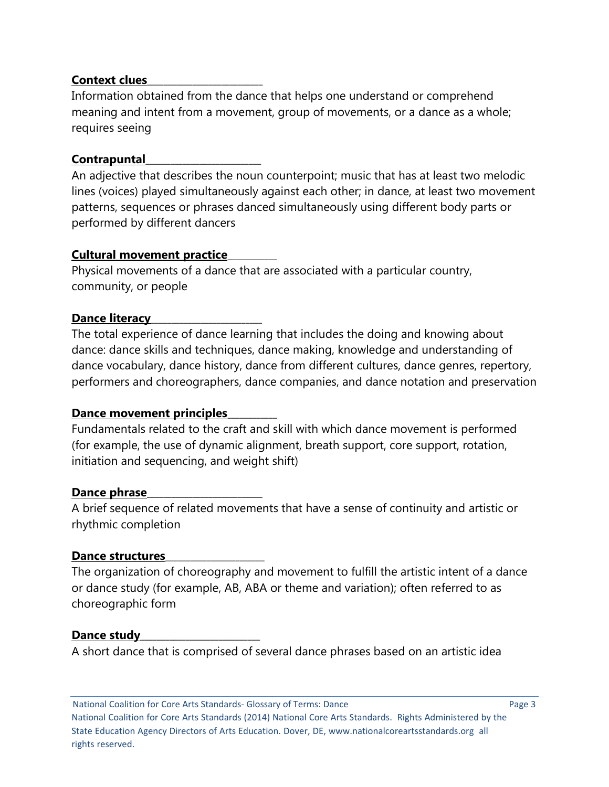## **Context clues**\_\_\_\_\_\_\_\_\_\_\_\_\_\_\_\_\_\_\_\_\_\_\_\_\_\_\_\_

Information obtained from the dance that helps one understand or comprehend meaning and intent from a movement, group of movements, or a dance as a whole; requires seeing

## **Contrapuntal**\_\_\_\_\_\_\_\_\_\_\_\_\_\_\_\_\_\_\_\_\_\_\_\_\_\_\_\_

An adjective that describes the noun counterpoint; music that has at least two melodic lines (voices) played simultaneously against each other; in dance, at least two movement patterns, sequences or phrases danced simultaneously using different body parts or performed by different dancers

## **Cultural movement practice**\_\_\_\_\_\_\_\_\_\_\_\_

Physical movements of a dance that are associated with a particular country, community, or people

## **Dance literacy**

The total experience of dance learning that includes the doing and knowing about dance: dance skills and techniques, dance making, knowledge and understanding of dance vocabulary, dance history, dance from different cultures, dance genres, repertory, performers and choreographers, dance companies, and dance notation and preservation

#### **Dance movement principles**\_\_\_\_\_\_\_\_\_\_\_\_

Fundamentals related to the craft and skill with which dance movement is performed (for example, the use of dynamic alignment, breath support, core support, rotation, initiation and sequencing, and weight shift)

#### Dance phrase

A brief sequence of related movements that have a sense of continuity and artistic or rhythmic completion

#### **Dance structures**\_\_\_\_\_\_\_\_\_\_\_\_\_\_\_\_\_\_\_\_\_\_\_\_

The organization of choreography and movement to fulfill the artistic intent of a dance or dance study (for example, AB, ABA or theme and variation); often referred to as choreographic form

#### Dance study

A short dance that is comprised of several dance phrases based on an artistic idea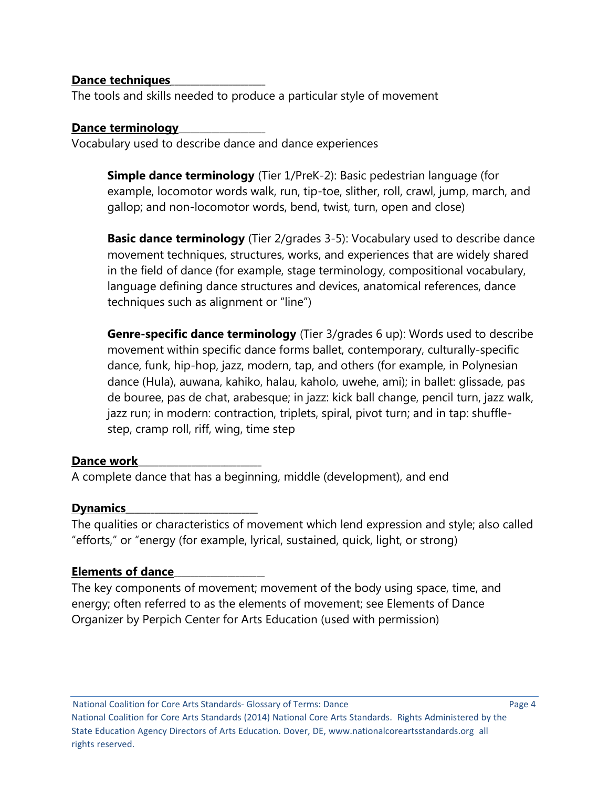## **Dance techniques**\_\_\_\_\_\_\_\_\_\_\_\_\_\_\_\_\_\_\_\_\_\_\_

The tools and skills needed to produce a particular style of movement

## **Dance terminology**\_\_\_\_\_\_\_\_\_\_\_\_\_\_\_\_\_\_\_\_\_

Vocabulary used to describe dance and dance experiences

**Simple dance terminology** (Tier 1/PreK-2): Basic pedestrian language (for example, locomotor words walk, run, tip-toe, slither, roll, crawl, jump, march, and gallop; and non-locomotor words, bend, twist, turn, open and close)

**Basic dance terminology** (Tier 2/grades 3-5): Vocabulary used to describe dance movement techniques, structures, works, and experiences that are widely shared in the field of dance (for example, stage terminology, compositional vocabulary, language defining dance structures and devices, anatomical references, dance techniques such as alignment or "line")

**Genre-specific dance terminology** (Tier 3/grades 6 up): Words used to describe movement within specific dance forms ballet, contemporary, culturally-specific dance, funk, hip-hop, jazz, modern, tap, and others (for example, in Polynesian dance (Hula), auwana, kahiko, halau, kaholo, uwehe, ami); in ballet: glissade, pas de bouree, pas de chat, arabesque; in jazz: kick ball change, pencil turn, jazz walk, jazz run; in modern: contraction, triplets, spiral, pivot turn; and in tap: shufflestep, cramp roll, riff, wing, time step

# Dance work

A complete dance that has a beginning, middle (development), and end

# **Dynamics**\_\_\_\_\_\_\_\_\_\_\_\_\_\_\_\_\_\_\_\_\_\_\_\_\_\_\_\_\_\_\_\_

The qualities or characteristics of movement which lend expression and style; also called "efforts," or "energy (for example, lyrical, sustained, quick, light, or strong)

# **Elements of dance**\_\_\_\_\_\_\_\_\_\_\_\_\_\_\_\_\_\_\_\_\_\_

The key components of movement; movement of the body using space, time, and energy; often referred to as the elements of movement; see Elements of Dance Organizer by Perpich Center for Arts Education (used with permission)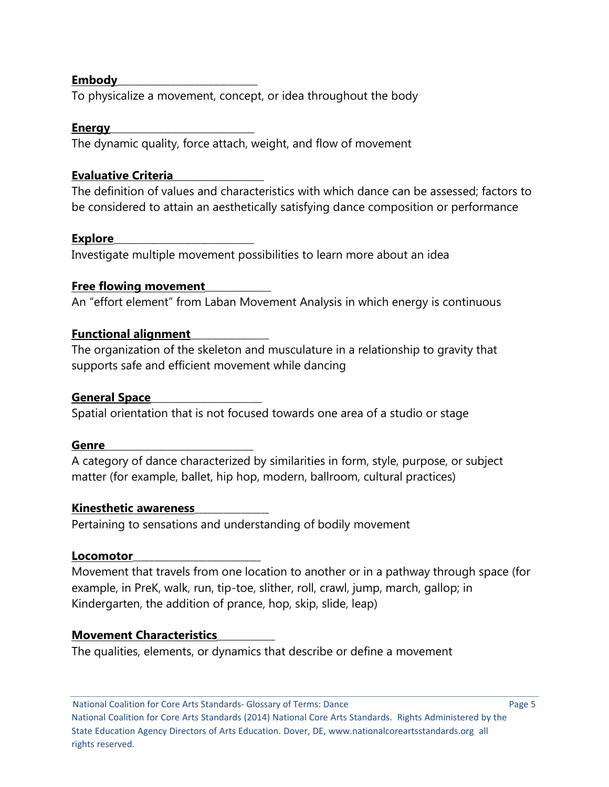## **Embody**\_\_\_\_\_\_\_\_\_\_\_\_\_\_\_\_\_\_\_\_\_\_\_\_\_\_\_\_\_\_\_\_\_\_

To physicalize a movement, concept, or idea throughout the body

## **Energy**\_\_\_\_\_\_\_\_\_\_\_\_\_\_\_\_\_\_\_\_\_\_\_\_\_\_\_\_\_\_\_\_\_\_\_

The dynamic quality, force attach, weight, and flow of movement

# **Evaluative Criteria**\_\_\_\_\_\_\_\_\_\_\_\_\_\_\_\_\_\_\_\_\_\_

The definition of values and characteristics with which dance can be assessed; factors to be considered to attain an aesthetically satisfying dance composition or performance

# **Explore**\_\_\_\_\_\_\_\_\_\_\_\_\_\_\_\_\_\_\_\_\_\_\_\_\_\_\_\_\_\_\_\_\_\_

Investigate multiple movement possibilities to learn more about an idea

# **Free flowing movement**\_\_\_\_\_\_\_\_\_\_\_\_\_\_\_\_

An "effort element" from Laban Movement Analysis in which energy is continuous

# **Functional alignment**\_\_\_\_\_\_\_\_\_\_\_\_\_\_\_\_\_\_\_

The organization of the skeleton and musculature in a relationship to gravity that supports safe and efficient movement while dancing

# **General Space**\_\_\_\_\_\_\_\_\_\_\_\_\_\_\_\_\_\_\_\_\_\_\_\_\_\_\_

Spatial orientation that is not focused towards one area of a studio or stage

# **Genre**\_\_\_\_\_\_\_\_\_\_\_\_\_\_\_\_\_\_\_\_\_\_\_\_\_\_\_\_\_\_\_\_\_\_\_\_

A category of dance characterized by similarities in form, style, purpose, or subject matter (for example, ballet, hip hop, modern, ballroom, cultural practices)

# **Kinesthetic awareness**\_\_\_\_\_\_\_\_\_\_\_\_\_\_\_\_\_\_

Pertaining to sensations and understanding of bodily movement

# Locomotor\_\_\_\_\_\_\_

Movement that travels from one location to another or in a pathway through space (for example, in PreK, walk, run, tip-toe, slither, roll, crawl, jump, march, gallop; in Kindergarten, the addition of prance, hop, skip, slide, leap)

# **Movement Characteristics**\_\_\_\_\_\_\_\_\_\_\_\_\_\_

The qualities, elements, or dynamics that describe or define a movement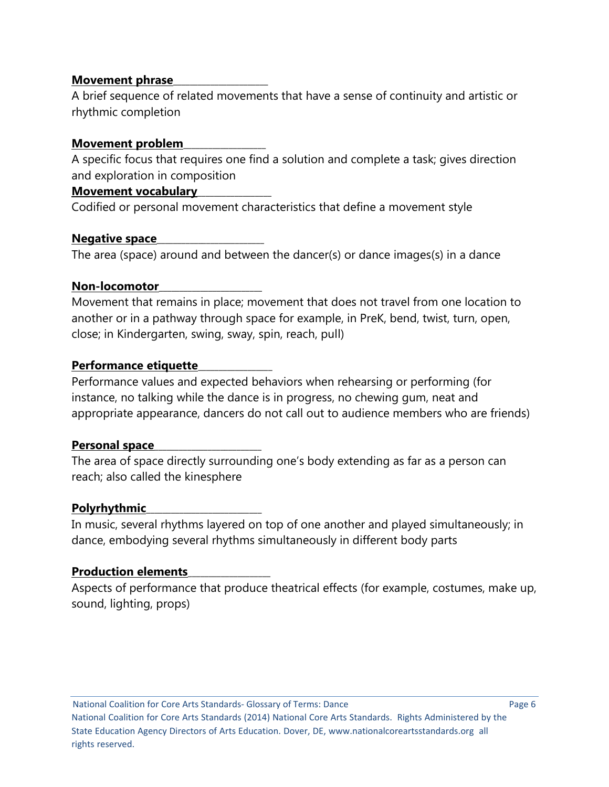## **Movement phrase**\_\_\_\_\_\_\_\_\_\_\_\_\_\_\_\_\_\_\_\_\_\_\_

A brief sequence of related movements that have a sense of continuity and artistic or rhythmic completion

## **Movement problem**\_\_\_\_\_\_\_\_\_\_\_\_\_\_\_\_\_\_\_\_

A specific focus that requires one find a solution and complete a task; gives direction and exploration in composition

## **Movement vocabulary**\_\_\_\_\_\_\_\_\_\_\_\_\_\_\_\_\_\_

Codified or personal movement characteristics that define a movement style

## **Negative space**\_\_\_\_\_\_\_\_\_\_\_\_\_\_\_\_\_\_\_\_\_\_\_\_\_\_

The area (space) around and between the dancer(s) or dance images(s) in a dance

#### **Non-locomotor**\_\_\_\_\_\_\_\_\_\_\_\_\_\_\_\_\_\_\_\_\_\_\_\_\_

Movement that remains in place; movement that does not travel from one location to another or in a pathway through space for example, in PreK, bend, twist, turn, open, close; in Kindergarten, swing, sway, spin, reach, pull)

## **Performance etiquette**\_\_\_\_\_\_\_\_\_\_\_\_\_\_\_\_\_\_

Performance values and expected behaviors when rehearsing or performing (for instance, no talking while the dance is in progress, no chewing gum, neat and appropriate appearance, dancers do not call out to audience members who are friends)

# **Personal space**\_\_\_\_\_\_\_\_\_\_\_\_\_\_\_\_\_\_\_\_\_\_\_\_\_\_

The area of space directly surrounding one's body extending as far as a person can reach; also called the kinesphere

# **Polyrhythmic**\_\_\_\_\_\_\_\_\_\_\_\_\_\_\_\_\_\_\_\_\_\_\_\_\_\_\_\_

In music, several rhythms layered on top of one another and played simultaneously; in dance, embodying several rhythms simultaneously in different body parts

#### **Production elements**\_\_\_\_\_\_\_\_\_\_\_\_\_\_\_\_\_\_\_\_

Aspects of performance that produce theatrical effects (for example, costumes, make up, sound, lighting, props)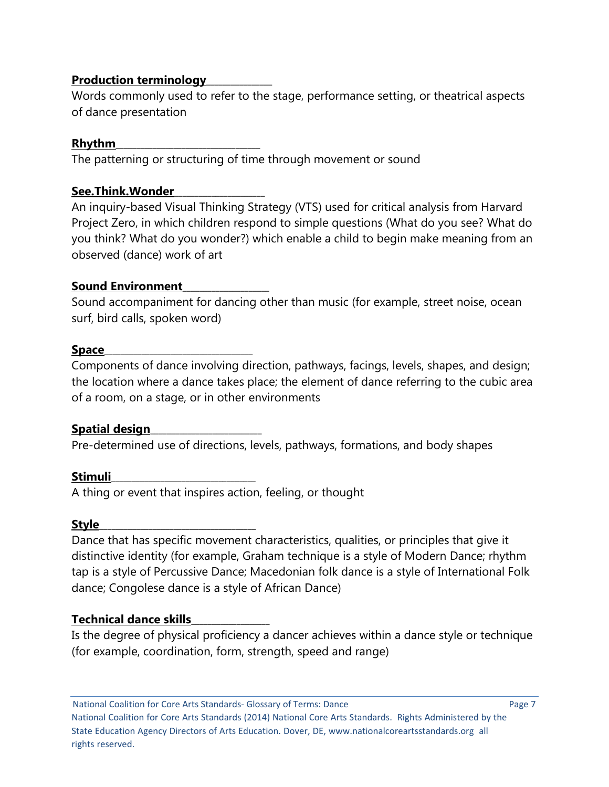# **Production terminology**\_\_\_\_\_\_\_\_\_\_\_\_\_\_\_\_

Words commonly used to refer to the stage, performance setting, or theatrical aspects of dance presentation

# **Rhythm**\_\_\_\_\_\_\_\_\_\_\_\_\_\_\_\_\_\_\_\_\_\_\_\_\_\_\_\_\_\_\_\_\_\_\_

The patterning or structuring of time through movement or sound

# **See.Think.Wonder**\_\_\_\_\_\_\_\_\_\_\_\_\_\_\_\_\_\_\_\_\_\_

An inquiry-based Visual Thinking Strategy (VTS) used for critical analysis from Harvard Project Zero, in which children respond to simple questions (What do you see? What do you think? What do you wonder?) which enable a child to begin make meaning from an observed (dance) work of art

# **Sound Environment**\_\_\_\_\_\_\_\_\_\_\_\_\_\_\_\_\_\_\_\_\_

Sound accompaniment for dancing other than music (for example, street noise, ocean surf, bird calls, spoken word)

# **Space**\_\_\_\_\_\_\_\_\_\_\_\_\_\_\_\_\_\_\_\_\_\_\_\_\_\_\_\_\_\_\_\_\_\_\_\_

Components of dance involving direction, pathways, facings, levels, shapes, and design; the location where a dance takes place; the element of dance referring to the cubic area of a room, on a stage, or in other environments

# Spatial design

Pre-determined use of directions, levels, pathways, formations, and body shapes

# **Stimuli**\_\_\_\_\_\_\_\_\_\_\_\_\_\_\_\_\_\_\_\_\_\_\_\_\_\_\_\_\_\_\_\_\_\_\_

A thing or event that inspires action, feeling, or thought

# **Style**\_\_\_\_\_\_\_\_\_\_\_\_\_\_\_\_\_\_\_\_\_\_\_\_\_\_\_\_\_\_\_\_\_\_\_\_\_\_

Dance that has specific movement characteristics, qualities, or principles that give it distinctive identity (for example, Graham technique is a style of Modern Dance; rhythm tap is a style of Percussive Dance; Macedonian folk dance is a style of International Folk dance; Congolese dance is a style of African Dance)

# **Technical dance skills**\_\_\_\_\_\_\_\_\_\_\_\_\_\_\_\_\_\_\_

Is the degree of physical proficiency a dancer achieves within a dance style or technique (for example, coordination, form, strength, speed and range)